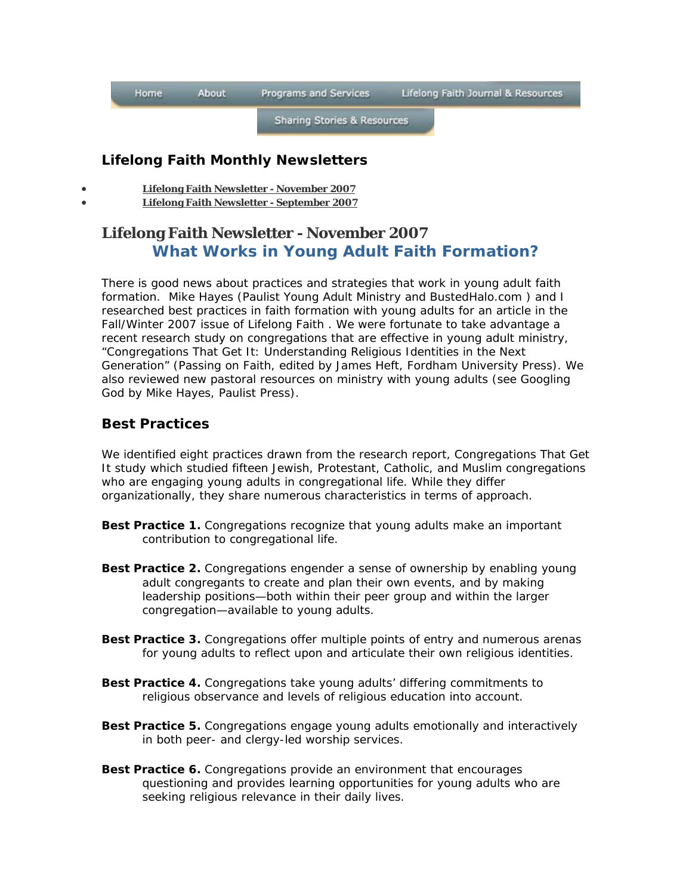| Home | <b>About</b> | Programs and Services | Lifelong Faith Journal & Resources |
|------|--------------|-----------------------|------------------------------------|
|------|--------------|-----------------------|------------------------------------|

**Sharing Stories & Resources** 

## **Lifelong Faith Monthly Newsletters**

- **Lifelong Faith Newsletter November 2007** 
	- **Lifelong Faith Newsletter September 2007**

# **Lifelong Faith Newsletter - November 2007 What Works in Young Adult Faith Formation?**

There is good news about practices and strategies that work in young adult faith formation. Mike Hayes (Paulist Young Adult Ministry and BustedHalo.com ) and I researched best practices in faith formation with young adults for an article in the Fall/Winter 2007 issue of *Lifelong Faith* . We were fortunate to take advantage a recent research study on congregations that are effective in young adult ministry, "Congregations That Get It: Understanding Religious Identities in the Next Generation" (*Passing on Faith*, edited by James Heft, Fordham University Press). We also reviewed new pastoral resources on ministry with young adults (see *Googling God* by Mike Hayes, Paulist Press).

## **Best Practices**

We identified eight practices drawn from the research report, *Congregations That Get It* study which studied fifteen Jewish, Protestant, Catholic, and Muslim congregations who are engaging young adults in congregational life. While they differ organizationally, they share numerous characteristics in terms of approach.

- **Best Practice 1.** Congregations recognize that young adults make an important contribution to congregational life.
- **Best Practice 2.** Congregations engender a sense of ownership by enabling young adult congregants to create and plan their own events, and by making leadership positions—both within their peer group and within the larger congregation—available to young adults.
- **Best Practice 3.** Congregations offer multiple points of entry and numerous arenas for young adults to reflect upon and articulate their own religious identities.
- **Best Practice 4.** Congregations take young adults' differing commitments to religious observance and levels of religious education into account.
- **Best Practice 5.** Congregations engage young adults emotionally and interactively in both peer- and clergy-led worship services.
- **Best Practice 6.** Congregations provide an environment that encourages questioning and provides learning opportunities for young adults who are seeking religious relevance in their daily lives.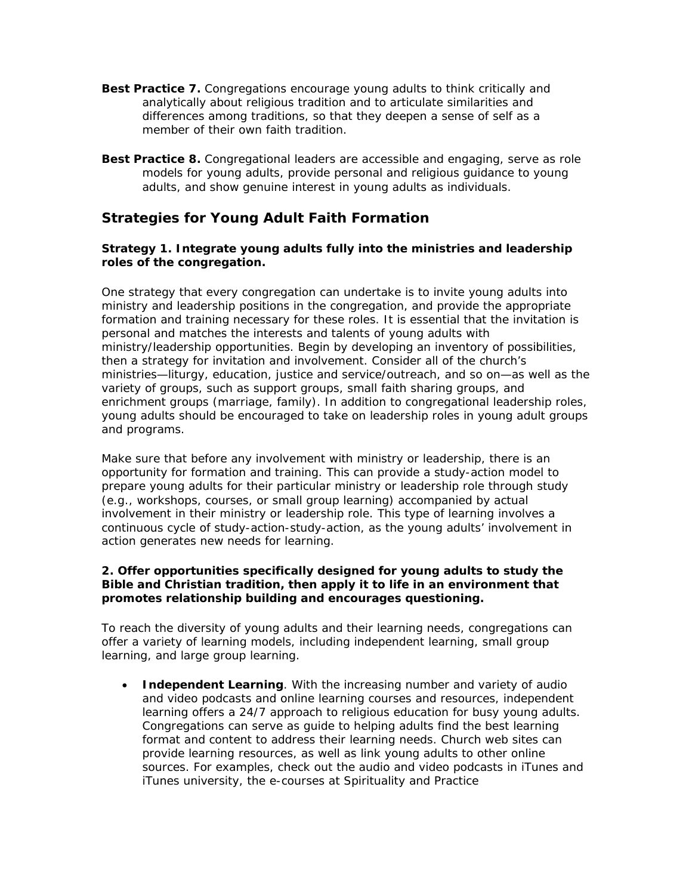- **Best Practice 7.** Congregations encourage young adults to think critically and analytically about religious tradition and to articulate similarities and differences among traditions, so that they deepen a sense of self as a member of their own faith tradition.
- **Best Practice 8.** Congregational leaders are accessible and engaging, serve as role models for young adults, provide personal and religious guidance to young adults, and show genuine interest in young adults as individuals.

## **Strategies for Young Adult Faith Formation**

#### **Strategy 1. Integrate young adults fully into the ministries and leadership roles of the congregation.**

One strategy that every congregation can undertake is to invite young adults into ministry and leadership positions in the congregation, and provide the appropriate formation and training necessary for these roles. It is essential that the invitation is *personal* and matches the interests and talents of young adults with ministry/leadership opportunities. Begin by developing an inventory of possibilities, then a strategy for invitation and involvement. Consider all of the church's ministries—liturgy, education, justice and service/outreach, and so on—as well as the variety of groups, such as support groups, small faith sharing groups, and enrichment groups (marriage, family). In addition to congregational leadership roles, young adults should be encouraged to take on leadership roles in young adult groups and programs.

Make sure that before any involvement with ministry or leadership, there is an opportunity for formation and training. This can provide a study-action model to prepare young adults for their particular ministry or leadership role through study (e.g., workshops, courses, or small group learning) accompanied by actual involvement in their ministry or leadership role. This type of learning involves a continuous cycle of study-action-study-action, as the young adults' involvement in action generates new needs for learning.

### **2. Offer opportunities specifically designed for young adults to study the Bible and Christian tradition, then apply it to life in an environment that promotes relationship building and encourages questioning.**

To reach the diversity of young adults and their learning needs, congregations can offer a variety of learning models, including independent learning, small group learning, and large group learning.

• **Independent Learning**. With the increasing number and variety of audio and video podcasts and online learning courses and resources, independent learning offers a 24/7 approach to religious education for busy young adults. Congregations can serve as guide to helping adults find the best learning format and content to address their learning needs. Church web sites can provide learning resources, as well as link young adults to other online sources. For examples, check out the audio and video podcasts in iTunes and iTunes university, the e-courses at Spirituality and Practice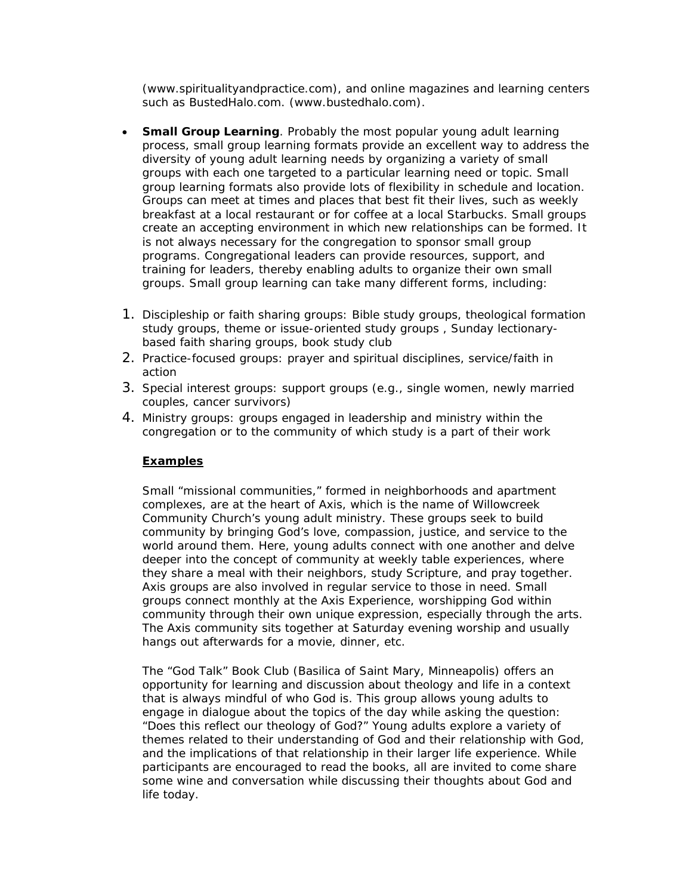(www.spiritualityandpractice.com), and online magazines and learning centers such as BustedHalo.com. (www.bustedhalo.com).

- **Small Group Learning**. Probably the most popular young adult learning process, small group learning formats provide an excellent way to address the diversity of young adult learning needs by organizing a variety of small groups with each one targeted to a particular learning need or topic. Small group learning formats also provide lots of flexibility in schedule and location. Groups can meet at times and places that best fit their lives, such as weekly breakfast at a local restaurant or for coffee at a local Starbucks. Small groups create an accepting environment in which new relationships can be formed. It is not always necessary for the congregation to sponsor small group programs. Congregational leaders can provide resources, support, and training for leaders, thereby enabling adults to organize their own small groups. Small group learning can take many different forms, including:
- 1. Discipleship or faith sharing groups: Bible study groups, theological formation study groups, theme or issue-oriented study groups , Sunday lectionarybased faith sharing groups, book study club
- 2. Practice-focused groups: prayer and spiritual disciplines, service/faith in action
- 3. Special interest groups: support groups (e.g., single women, newly married couples, cancer survivors)
- 4. Ministry groups: groups engaged in leadership and ministry within the congregation or to the community of which study is a part of their work

### **Examples**

Small "missional communities," formed in neighborhoods and apartment complexes, are at the heart of Axis, which is the name of Willowcreek Community Church's young adult ministry. These groups seek to build community by bringing God's love, compassion, justice, and service to the world around them. Here, young adults connect with one another and delve deeper into the concept of community at weekly table experiences, where they share a meal with their neighbors, study Scripture, and pray together. Axis groups are also involved in regular service to those in need. Small groups connect monthly at the Axis Experience, worshipping God within community through their own unique expression, especially through the arts. The Axis community sits together at Saturday evening worship and usually hangs out afterwards for a movie, dinner, etc.

The "God Talk" Book Club (Basilica of Saint Mary, Minneapolis) offers an opportunity for learning and discussion about theology and life in a context that is always mindful of who God is. This group allows young adults to engage in dialogue about the topics of the day while asking the question: "Does this reflect our theology of God?" Young adults explore a variety of themes related to their understanding of God and their relationship with God, and the implications of that relationship in their larger life experience. While participants are encouraged to read the books, all are invited to come share some wine and conversation while discussing their thoughts about God and life today.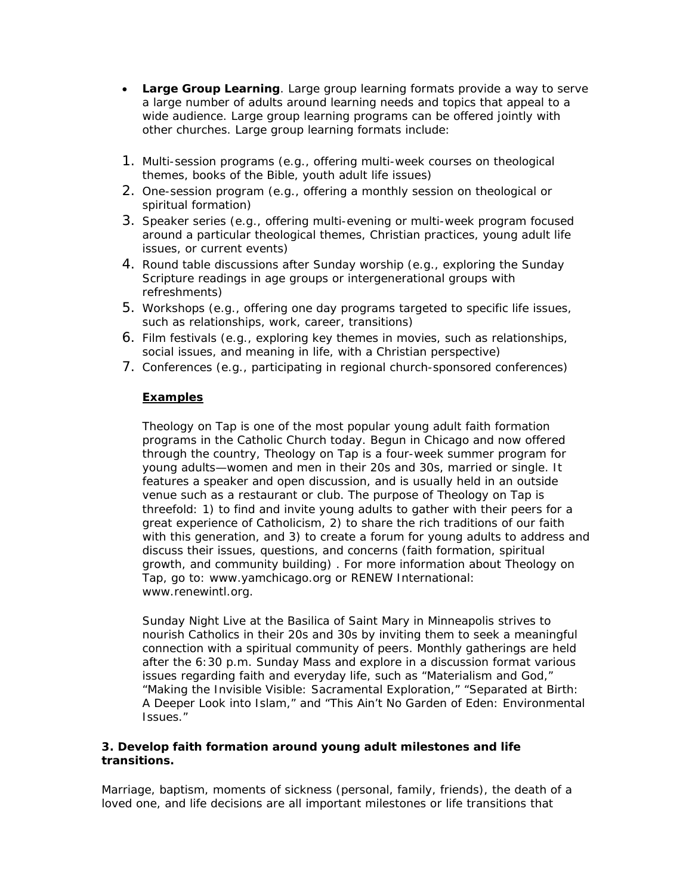- **Large Group Learning**. Large group learning formats provide a way to serve a large number of adults around learning needs and topics that appeal to a wide audience. Large group learning programs can be offered jointly with other churches. Large group learning formats include:
- 1. Multi-session programs (e.g., offering multi-week courses on theological themes, books of the Bible, youth adult life issues)
- 2. One-session program (e.g., offering a monthly session on theological or spiritual formation)
- 3. Speaker series (e.g., offering multi-evening or multi-week program focused around a particular theological themes, Christian practices, young adult life issues, or current events)
- 4. Round table discussions after Sunday worship (e.g., exploring the Sunday Scripture readings in age groups or intergenerational groups with refreshments)
- 5. Workshops (e.g., offering one day programs targeted to specific life issues, such as relationships, work, career, transitions)
- 6. Film festivals (e.g., exploring key themes in movies, such as relationships, social issues, and meaning in life, with a Christian perspective)
- 7. Conferences (e.g., participating in regional church-sponsored conferences)

### **Examples**

Theology on Tap is one of the most popular young adult faith formation programs in the Catholic Church today. Begun in Chicago and now offered through the country, Theology on Tap is a four-week summer program for young adults—women and men in their 20s and 30s, married or single. It features a speaker and open discussion, and is usually held in an outside venue such as a restaurant or club. The purpose of Theology on Tap is threefold: 1) to find and invite young adults to gather with their peers for a great experience of Catholicism, 2) to share the rich traditions of our faith with this generation, and 3) to create a forum for young adults to address and discuss their issues, questions, and concerns (faith formation, spiritual growth, and community building) . For more information about Theology on Tap, go to: www.yamchicago.org or RENEW International: www.renewintl.org.

Sunday Night Live at the Basilica of Saint Mary in Minneapolis strives to nourish Catholics in their 20s and 30s by inviting them to seek a meaningful connection with a spiritual community of peers. Monthly gatherings are held after the 6:30 p.m. Sunday Mass and explore in a discussion format various issues regarding faith and everyday life, such as "Materialism and God," "Making the Invisible Visible: Sacramental Exploration," "Separated at Birth: A Deeper Look into Islam," and "This Ain't No Garden of Eden: Environmental Issues."

#### **3. Develop faith formation around young adult milestones and life transitions.**

Marriage, baptism, moments of sickness (personal, family, friends), the death of a loved one, and life decisions are all important milestones or life transitions that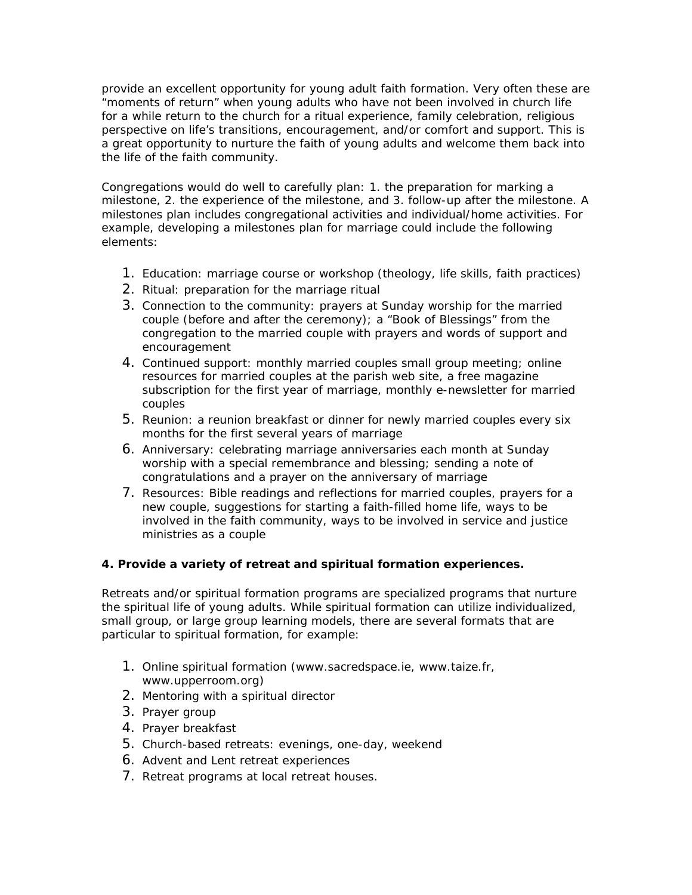provide an excellent opportunity for young adult faith formation. Very often these are "moments of return" when young adults who have not been involved in church life for a while return to the church for a ritual experience, family celebration, religious perspective on life's transitions, encouragement, and/or comfort and support. This is a great opportunity to nurture the faith of young adults *and* welcome them back into the life of the faith community.

Congregations would do well to carefully plan: 1. the preparation for marking a milestone, 2. the experience of the milestone, and 3. follow-up after the milestone. A milestones plan includes congregational activities and individual/home activities. For example, developing a milestones plan for marriage could include the following elements:

- 1. Education: marriage course or workshop (theology, life skills, faith practices)
- 2. Ritual: preparation for the marriage ritual
- 3. Connection to the community: prayers at Sunday worship for the married couple (before and after the ceremony); a "Book of Blessings" from the congregation to the married couple with prayers and words of support and encouragement
- 4. Continued support: monthly married couples small group meeting; online resources for married couples at the parish web site, a free magazine subscription for the first year of marriage, monthly e-newsletter for married couples
- 5. Reunion: a reunion breakfast or dinner for newly married couples every six months for the first several years of marriage
- 6. Anniversary: celebrating marriage anniversaries each month at Sunday worship with a special remembrance and blessing; sending a note of congratulations and a prayer on the anniversary of marriage
- 7. Resources: Bible readings and reflections for married couples, prayers for a new couple, suggestions for starting a faith-filled home life, ways to be involved in the faith community, ways to be involved in service and justice ministries as a couple

### **4. Provide a variety of retreat and spiritual formation experiences.**

Retreats and/or spiritual formation programs are specialized programs that nurture the spiritual life of young adults. While spiritual formation can utilize individualized, small group, or large group learning models, there are several formats that are particular to spiritual formation, for example:

- 1. Online spiritual formation (www.sacredspace.ie, www.taize.fr, www.upperroom.org)
- 2. Mentoring with a spiritual director
- 3. Prayer group
- 4. Prayer breakfast
- 5. Church-based retreats: evenings, one-day, weekend
- 6. Advent and Lent retreat experiences
- 7. Retreat programs at local retreat houses.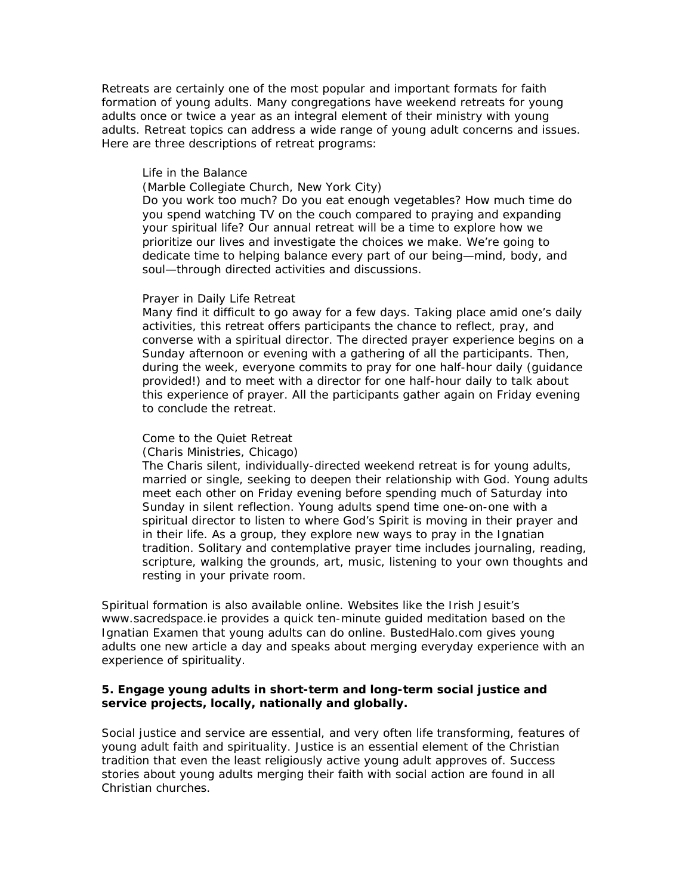Retreats are certainly one of the most popular and important formats for faith formation of young adults. Many congregations have weekend retreats for young adults once or twice a year as an integral element of their ministry with young adults. Retreat topics can address a wide range of young adult concerns and issues. Here are three descriptions of retreat programs:

#### *Life in the Balance*

(Marble Collegiate Church, New York City)

Do you work too much? Do you eat enough vegetables? How much time do you spend watching TV on the couch compared to praying and expanding your spiritual life? Our annual retreat will be a time to explore how we prioritize our lives and investigate the choices we make. We're going to dedicate time to helping balance every part of our being—mind, body, and soul—through directed activities and discussions.

#### *Prayer in Daily Life Retreat*

Many find it difficult to go away for a few days. Taking place amid one's daily activities, this retreat offers participants the chance to reflect, pray, and converse with a spiritual director. The directed prayer experience begins on a Sunday afternoon or evening with a gathering of all the participants. Then, during the week, everyone commits to pray for one half-hour daily (guidance provided!) and to meet with a director for one half-hour daily to talk about this experience of prayer. All the participants gather again on Friday evening to conclude the retreat.

#### *Come to the Quiet Retreat*

(Charis Ministries, Chicago)

The Charis silent, individually-directed weekend retreat is for young adults, married or single, seeking to deepen their relationship with God. Young adults meet each other on Friday evening before spending much of Saturday into Sunday in silent reflection. Young adults spend time one-on-one with a spiritual director to listen to where God's Spirit is moving in their prayer and in their life. As a group, they explore new ways to pray in the Ignatian tradition. Solitary and contemplative prayer time includes journaling, reading, scripture, walking the grounds, art, music, listening to your own thoughts and resting in your private room.

Spiritual formation is also available online. Websites like the Irish Jesuit's www.sacredspace.ie provides a quick ten-minute guided meditation based on the Ignatian *Examen* that young adults can do online. BustedHalo.com gives young adults one new article a day and speaks about merging everyday experience with an experience of spirituality.

#### **5. Engage young adults in short-term and long-term social justice and service projects, locally, nationally and globally.**

Social justice and service are essential, and very often life transforming, features of young adult faith and spirituality. Justice is an essential element of the Christian tradition that even the least religiously active young adult approves of. Success stories about young adults merging their faith with social action are found in all Christian churches.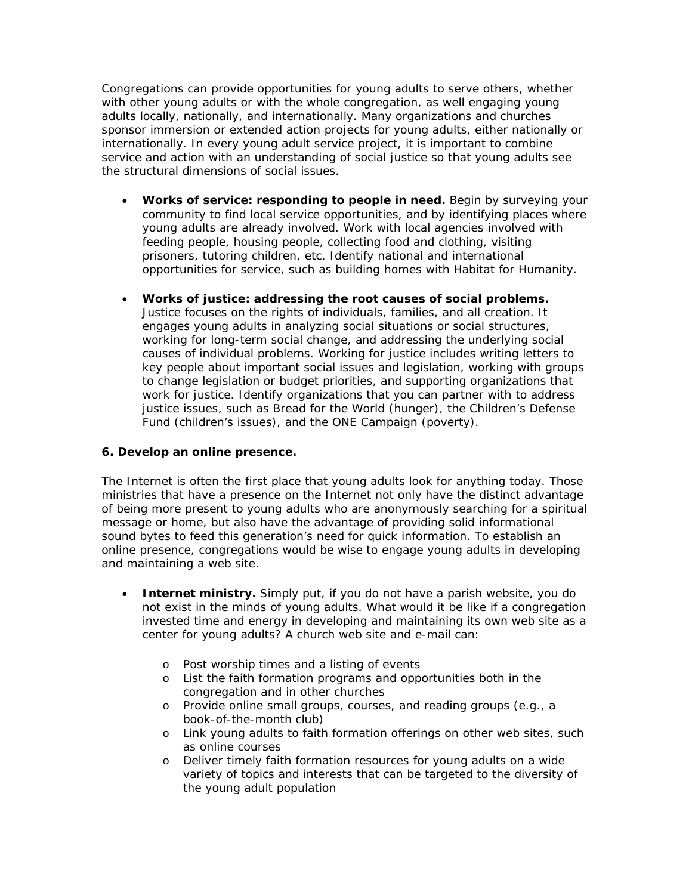Congregations can provide opportunities for young adults to serve others, whether with other young adults or with the whole congregation, as well engaging young adults locally, nationally, and internationally. Many organizations and churches sponsor immersion or extended action projects for young adults, either nationally or internationally. In every young adult service project, it is important to combine service and action with an understanding of social justice so that young adults see the structural dimensions of social issues.

- **Works of service: responding to people in need.** Begin by surveying your community to find local service opportunities, and by identifying places where young adults are already involved. Work with local agencies involved with feeding people, housing people, collecting food and clothing, visiting prisoners, tutoring children, etc. Identify national and international opportunities for service, such as building homes with Habitat for Humanity.
- **Works of justice: addressing the root causes of social problems.**  Justice focuses on the rights of individuals, families, and all creation. It engages young adults in analyzing social situations or social structures, working for long-term social change, and addressing the underlying social causes of individual problems. Working for justice includes writing letters to key people about important social issues and legislation, working with groups to change legislation or budget priorities, and supporting organizations that work for justice. Identify organizations that you can partner with to address justice issues, such as Bread for the World (hunger), the Children's Defense Fund (children's issues), and the ONE Campaign (poverty).

### **6. Develop an online presence.**

The Internet is often the first place that young adults look for anything today. Those ministries that have a presence on the Internet not only have the distinct advantage of being more present to young adults who are anonymously searching for a spiritual message or home, but also have the advantage of providing solid informational sound bytes to feed this generation's need for quick information. To establish an online presence, congregations would be wise to engage young adults in developing and maintaining a web site.

- **Internet ministry.** Simply put, if you do not have a parish website, you do not exist in the minds of young adults. What would it be like if a congregation invested time and energy in developing and maintaining its own web site as a center for young adults? A church web site and e-mail can:
	- o Post worship times and a listing of events
	- o List the faith formation programs and opportunities both in the congregation and in other churches
	- o Provide online small groups, courses, and reading groups (e.g., a book-of-the-month club)
	- o Link young adults to faith formation offerings on other web sites, such as online courses
	- o Deliver timely faith formation resources for young adults on a wide variety of topics and interests that can be targeted to the diversity of the young adult population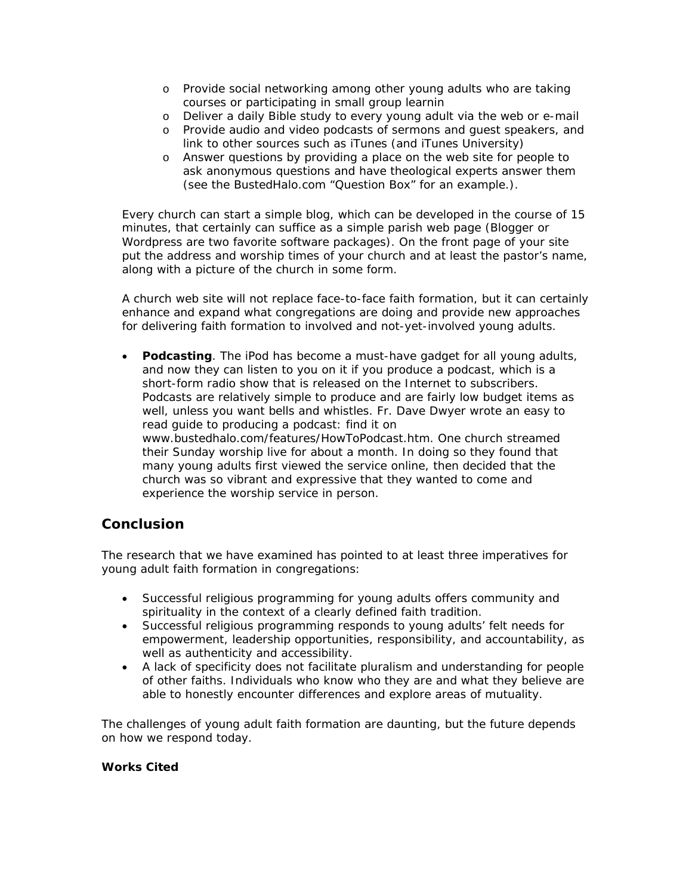- o Provide social networking among other young adults who are taking courses or participating in small group learnin
- o Deliver a daily Bible study to every young adult via the web or e-mail
- o Provide audio and video podcasts of sermons and guest speakers, and link to other sources such as iTunes (and iTunes University)
- o Answer questions by providing a place on the web site for people to ask anonymous questions and have theological experts answer them (see the BustedHalo.com "Question Box" for an example.).

Every church can start a simple blog, which can be developed in the course of 15 minutes, that certainly can suffice as a simple parish web page (Blogger or Wordpress are two favorite software packages). On the front page of your site put the address and worship times of your church and at least the pastor's name, along with a picture of the church in some form.

A church web site will not replace face-to-face faith formation, but it can certainly enhance and expand what congregations are doing and provide new approaches for delivering faith formation to involved and not-yet-involved young adults.

• **Podcasting**. The iPod has become a must-have gadget for all young adults, and now they can listen to you on it if you produce a podcast, which is a short-form radio show that is released on the Internet to subscribers. Podcasts are relatively simple to produce and are fairly low budget items as well, unless you want bells and whistles. Fr. Dave Dwyer wrote an easy to read guide to producing a podcast: find it on www.bustedhalo.com/features/HowToPodcast.htm. One church streamed their Sunday worship live for about a month. In doing so they found that many young adults first viewed the service online, then decided that the church was so vibrant and expressive that they wanted to come and experience the worship service in person.

### **Conclusion**

The research that we have examined has pointed to at least three imperatives for young adult faith formation in congregations:

- Successful religious programming for young adults offers community and spirituality in the context of a clearly defined faith tradition.
- Successful religious programming responds to young adults' felt needs for empowerment, leadership opportunities, responsibility, and accountability, as well as authenticity and accessibility.
- A lack of specificity does not facilitate pluralism and understanding for people of other faiths. Individuals who know who they are and what they believe are able to honestly encounter differences and explore areas of mutuality.

The challenges of young adult faith formation are daunting, but the future depends on how we respond today.

### **Works Cited**